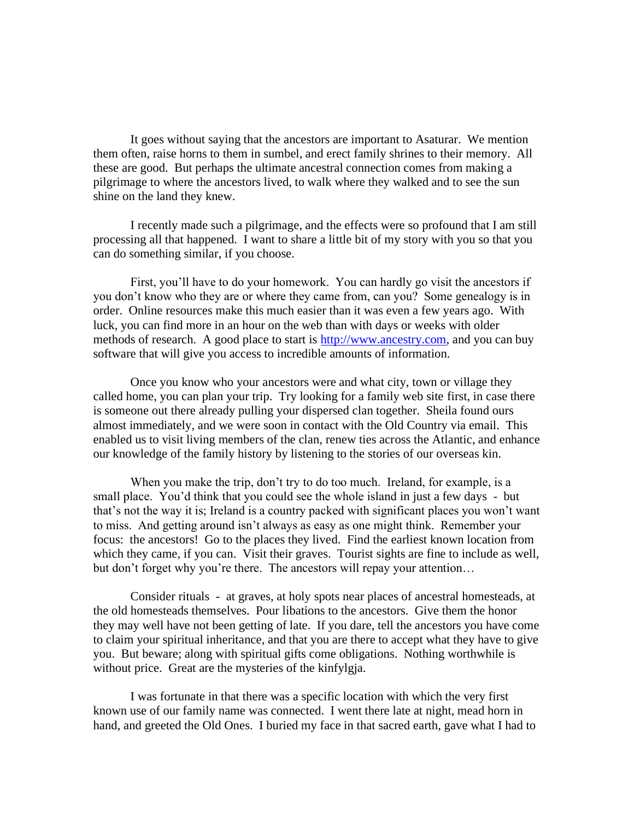It goes without saying that the ancestors are important to Asaturar. We mention them often, raise horns to them in sumbel, and erect family shrines to their memory. All these are good. But perhaps the ultimate ancestral connection comes from making a pilgrimage to where the ancestors lived, to walk where they walked and to see the sun shine on the land they knew.

I recently made such a pilgrimage, and the effects were so profound that I am still processing all that happened. I want to share a little bit of my story with you so that you can do something similar, if you choose.

First, you'll have to do your homework. You can hardly go visit the ancestors if you don't know who they are or where they came from, can you? Some genealogy is in order. Online resources make this much easier than it was even a few years ago. With luck, you can find more in an hour on the web than with days or weeks with older methods of research. A good place to start is [http://www.ancestry.com,](http://www.ancestry.com/) and you can buy software that will give you access to incredible amounts of information.

Once you know who your ancestors were and what city, town or village they called home, you can plan your trip. Try looking for a family web site first, in case there is someone out there already pulling your dispersed clan together. Sheila found ours almost immediately, and we were soon in contact with the Old Country via email. This enabled us to visit living members of the clan, renew ties across the Atlantic, and enhance our knowledge of the family history by listening to the stories of our overseas kin.

When you make the trip, don't try to do too much. Ireland, for example, is a small place. You'd think that you could see the whole island in just a few days - but that's not the way it is; Ireland is a country packed with significant places you won't want to miss. And getting around isn't always as easy as one might think. Remember your focus: the ancestors! Go to the places they lived. Find the earliest known location from which they came, if you can. Visit their graves. Tourist sights are fine to include as well, but don't forget why you're there. The ancestors will repay your attention…

Consider rituals - at graves, at holy spots near places of ancestral homesteads, at the old homesteads themselves. Pour libations to the ancestors. Give them the honor they may well have not been getting of late. If you dare, tell the ancestors you have come to claim your spiritual inheritance, and that you are there to accept what they have to give you. But beware; along with spiritual gifts come obligations. Nothing worthwhile is without price. Great are the mysteries of the kinfylgja.

I was fortunate in that there was a specific location with which the very first known use of our family name was connected. I went there late at night, mead horn in hand, and greeted the Old Ones. I buried my face in that sacred earth, gave what I had to